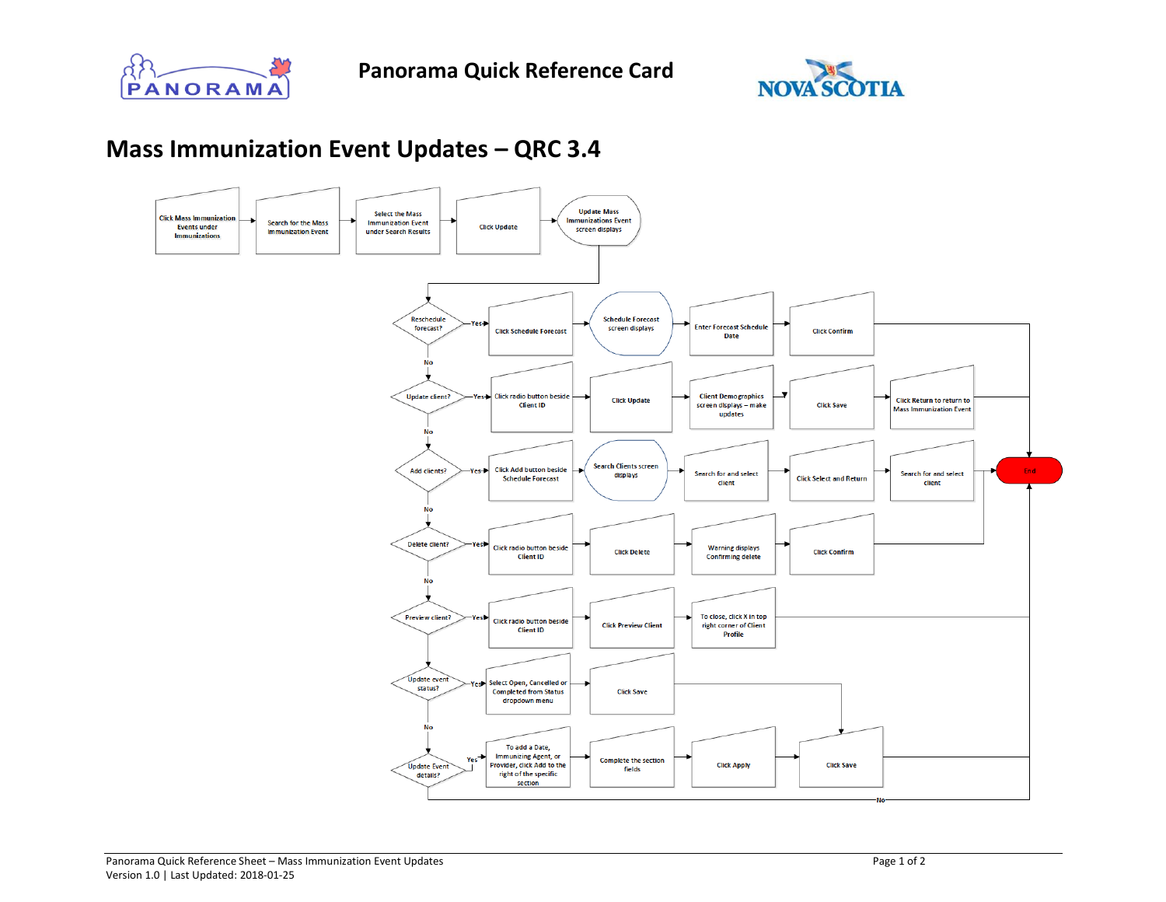



## **Mass Immunization Event Updates – QRC 3.4**